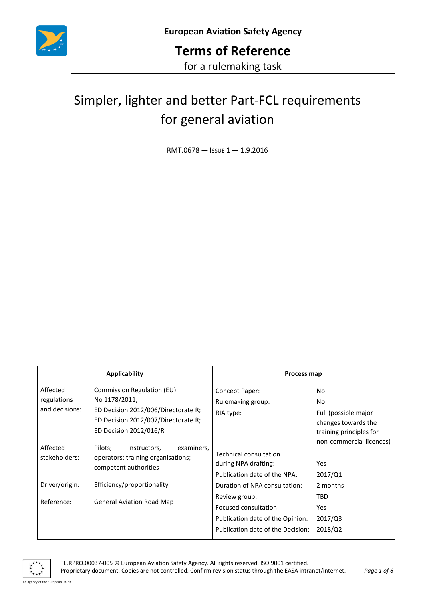

# Simpler, lighter and better Part-FCL requirements for general aviation

RMT.0678 — ISSUE 1 — 1.9.2016

| <b>Applicability</b>                      |                                                                                                                                                     | Process map                                                                                                     |                                                                                      |
|-------------------------------------------|-----------------------------------------------------------------------------------------------------------------------------------------------------|-----------------------------------------------------------------------------------------------------------------|--------------------------------------------------------------------------------------|
| Affected<br>regulations<br>and decisions: | Commission Regulation (EU)<br>No 1178/2011;<br>ED Decision 2012/006/Directorate R;<br>ED Decision 2012/007/Directorate R;<br>ED Decision 2012/016/R | Concept Paper:<br>Rulemaking group:<br>RIA type:                                                                | No.<br>No.<br>Full (possible major<br>changes towards the<br>training principles for |
| Affected<br>stakeholders:                 | Pilots;<br>instructors,<br>examiners,<br>operators; training organisations;<br>competent authorities                                                | <b>Technical consultation</b><br>during NPA drafting:<br>Publication date of the NPA:                           | non-commercial licences)<br>Yes<br>2017/Q1                                           |
| Driver/origin:                            | Efficiency/proportionality                                                                                                                          | Duration of NPA consultation:                                                                                   | 2 months                                                                             |
| Reference:                                | <b>General Aviation Road Map</b>                                                                                                                    | Review group:<br>Focused consultation:<br>Publication date of the Opinion:<br>Publication date of the Decision: | <b>TBD</b><br><b>Yes</b><br>2017/Q3<br>2018/Q2                                       |

An agency of the European Union

TE.RPRO.00037-005 © European Aviation Safety Agency. All rights reserved. ISO 9001 certified.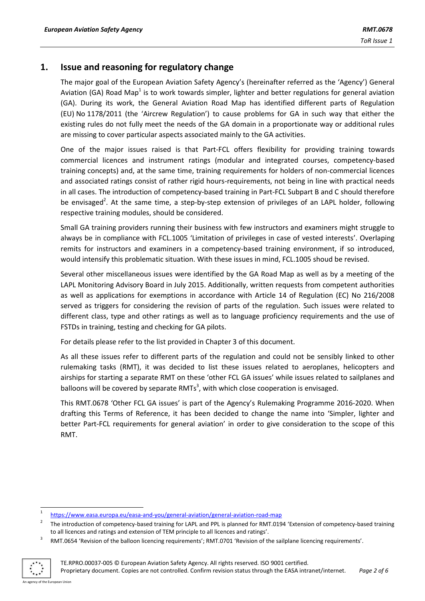## **1. Issue and reasoning for regulatory change**

The major goal of the European Aviation Safety Agency's (hereinafter referred as the 'Agency') General Aviation (GA) Road Map<sup>1</sup> is to work towards simpler, lighter and better regulations for general aviation (GA). During its work, the General Aviation Road Map has identified different parts of Regulation (EU) No 1178/2011 (the 'Aircrew Regulation') to cause problems for GA in such way that either the existing rules do not fully meet the needs of the GA domain in a proportionate way or additional rules are missing to cover particular aspects associated mainly to the GA activities.

One of the major issues raised is that Part-FCL offers flexibility for providing training towards commercial licences and instrument ratings (modular and integrated courses, competency-based training concepts) and, at the same time, training requirements for holders of non-commercial licences and associated ratings consist of rather rigid hours-requirements, not being in line with practical needs in all cases. The introduction of competency-based training in Part-FCL Subpart B and C should therefore be envisaged<sup>2</sup>. At the same time, a step-by-step extension of privileges of an LAPL holder, following respective training modules, should be considered.

Small GA training providers running their business with few instructors and examiners might struggle to always be in compliance with FCL.1005 'Limitation of privileges in case of vested interests'. Overlaping remits for instructors and examiners in a competency-based training environment, if so introduced, would intensify this problematic situation. With these issues in mind, FCL.1005 shoud be revised.

Several other miscellaneous issues were identified by the GA Road Map as well as by a meeting of the LAPL Monitoring Advisory Board in July 2015. Additionally, written requests from competent authorities as well as applications for exemptions in accordance with Article 14 of Regulation (EC) No 216/2008 served as triggers for considering the revision of parts of the regulation. Such issues were related to different class, type and other ratings as well as to language proficiency requirements and the use of FSTDs in training, testing and checking for GA pilots.

For details please refer to the list provided in Chapter 3 of this document.

As all these issues refer to different parts of the regulation and could not be sensibly linked to other rulemaking tasks (RMT), it was decided to list these issues related to aeroplanes, helicopters and airships for starting a separate RMT on these 'other FCL GA issues' while issues related to sailplanes and balloons will be covered by separate RMTs<sup>3</sup>, with which close cooperation is envisaged.

This RMT.0678 'Other FCL GA issues' is part of the Agency's Rulemaking Programme 2016-2020. When drafting this Terms of Reference, it has been decided to change the name into 'Simpler, lighter and better Part-FCL requirements for general aviation' in order to give consideration to the scope of this RMT.

<sup>3</sup> RMT.0654 'Revision of the balloon licencing requirements'; RMT.0701 'Revision of the sailplane licencing requirements'.



1

<sup>1</sup> <https://www.easa.europa.eu/easa-and-you/general-aviation/general-aviation-road-map>

<sup>2</sup> The introduction of competency-based training for LAPL and PPL is planned for RMT.0194 'Extension of competency-based training to all licences and ratings and extension of TEM principle to all licences and ratings'.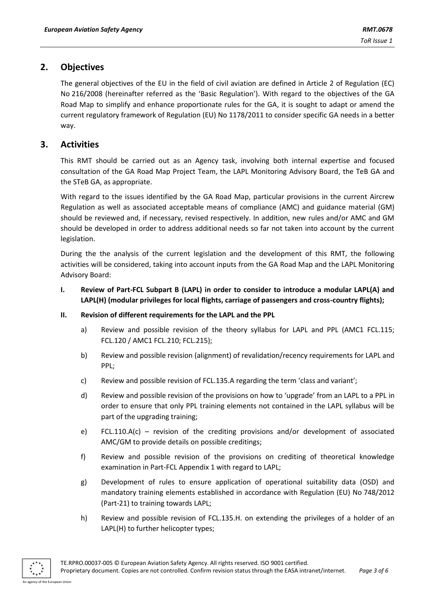# **2. Objectives**

The general objectives of the EU in the field of civil aviation are defined in Article 2 of Regulation (EC) No 216/2008 (hereinafter referred as the 'Basic Regulation'). With regard to the objectives of the GA Road Map to simplify and enhance proportionate rules for the GA, it is sought to adapt or amend the current regulatory framework of Regulation (EU) No 1178/2011 to consider specific GA needs in a better way.

# **3. Activities**

This RMT should be carried out as an Agency task, involving both internal expertise and focused consultation of the GA Road Map Project Team, the LAPL Monitoring Advisory Board, the TeB GA and the STeB GA, as appropriate.

With regard to the issues identified by the GA Road Map, particular provisions in the current Aircrew Regulation as well as associated acceptable means of compliance (AMC) and guidance material (GM) should be reviewed and, if necessary, revised respectively. In addition, new rules and/or AMC and GM should be developed in order to address additional needs so far not taken into account by the current legislation.

During the the analysis of the current legislation and the development of this RMT, the following activities will be considered, taking into account inputs from the GA Road Map and the LAPL Monitoring Advisory Board:

- **I. Review of Part-FCL Subpart B (LAPL) in order to consider to introduce a modular LAPL(A) and LAPL(H) (modular privileges for local flights, carriage of passengers and cross-country flights);**
- **II. Revision of different requirements for the LAPL and the PPL**
	- a) Review and possible revision of the theory syllabus for LAPL and PPL (AMC1 FCL.115; FCL.120 / AMC1 FCL.210; FCL.215);
	- b) Review and possible revision (alignment) of revalidation/recency requirements for LAPL and PPL;
	- c) Review and possible revision of FCL.135.A regarding the term 'class and variant';
	- d) Review and possible revision of the provisions on how to 'upgrade' from an LAPL to a PPL in order to ensure that only PPL training elements not contained in the LAPL syllabus will be part of the upgrading training;
	- e) FCL.110.A(c) revision of the crediting provisions and/or development of associated AMC/GM to provide details on possible creditings;
	- f) Review and possible revision of the provisions on crediting of theoretical knowledge examination in Part-FCL Appendix 1 with regard to LAPL;
	- g) Development of rules to ensure application of operational suitability data (OSD) and mandatory training elements established in accordance with Regulation (EU) No 748/2012 (Part-21) to training towards LAPL;
	- h) Review and possible revision of FCL.135.H. on extending the privileges of a holder of an LAPL(H) to further helicopter types;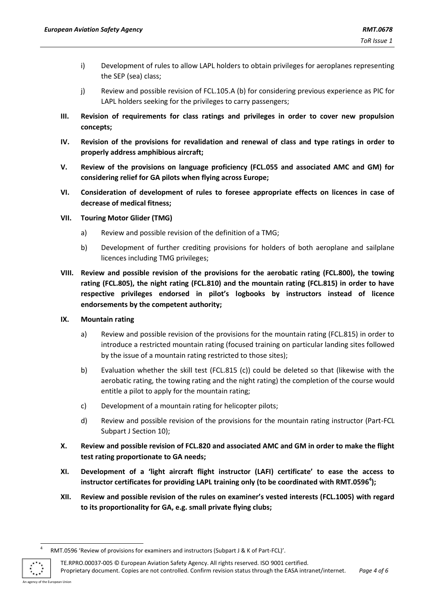- i) Development of rules to allow LAPL holders to obtain privileges for aeroplanes representing the SEP (sea) class;
- j) Review and possible revision of FCL.105.A (b) for considering previous experience as PIC for LAPL holders seeking for the privileges to carry passengers;
- **III. Revision of requirements for class ratings and privileges in order to cover new propulsion concepts;**
- **IV. Revision of the provisions for revalidation and renewal of class and type ratings in order to properly address amphibious aircraft;**
- **V. Review of the provisions on language proficiency (FCL.055 and associated AMC and GM) for considering relief for GA pilots when flying across Europe;**
- **VI. Consideration of development of rules to foresee appropriate effects on licences in case of decrease of medical fitness;**
- **VII. Touring Motor Glider (TMG)**
	- a) Review and possible revision of the definition of a TMG;
	- b) Development of further crediting provisions for holders of both aeroplane and sailplane licences including TMG privileges;
- **VIII. Review and possible revision of the provisions for the aerobatic rating (FCL.800), the towing rating (FCL.805), the night rating (FCL.810) and the mountain rating (FCL.815) in order to have respective privileges endorsed in pilot's logbooks by instructors instead of licence endorsements by the competent authority;**
- **IX. Mountain rating**
	- a) Review and possible revision of the provisions for the mountain rating (FCL.815) in order to introduce a restricted mountain rating (focused training on particular landing sites followed by the issue of a mountain rating restricted to those sites);
	- b) Evaluation whether the skill test (FCL.815 (c)) could be deleted so that (likewise with the aerobatic rating, the towing rating and the night rating) the completion of the course would entitle a pilot to apply for the mountain rating;
	- c) Development of a mountain rating for helicopter pilots;
	- d) Review and possible revision of the provisions for the mountain rating instructor (Part-FCL Subpart J Section 10);
- **X. Review and possible revision of FCL.820 and associated AMC and GM in order to make the flight test rating proportionate to GA needs;**
- **XI. Development of a 'light aircraft flight instructor (LAFI) certificate' to ease the access to instructor certificates for providing LAPL training only (to be coordinated with RMT.0596<sup>4</sup> );**
- **XII. Review and possible revision of the rules on examiner's vested interests (FCL.1005) with regard to its proportionality for GA, e.g. small private flying clubs;**

TE.RPRO.00037-005 © European Aviation Safety Agency. All rights reserved. ISO 9001 certified. Proprietary document. Copies are not controlled. Confirm revision status through the EASA intranet/internet. *Page 4 of 6*

 $\frac{1}{4}$ RMT.0596 'Review of provisions for examiners and instructors (Subpart J & K of Part-FCL)'.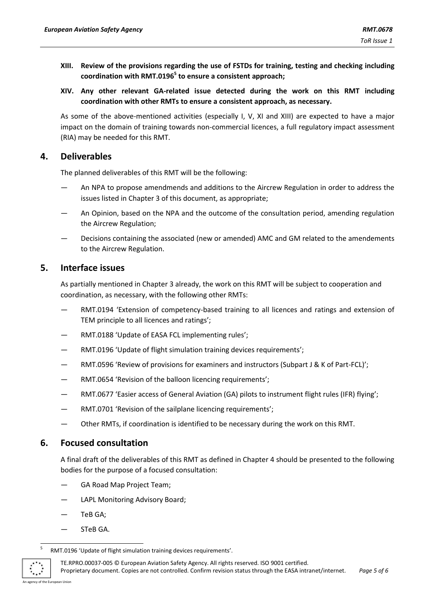- **XIII. Review of the provisions regarding the use of FSTDs for training, testing and checking including coordination with RMT.0196<sup>5</sup> to ensure a consistent approach;**
- **XIV. Any other relevant GA-related issue detected during the work on this RMT including coordination with other RMTs to ensure a consistent approach, as necessary.**

As some of the above-mentioned activities (especially I, V, XI and XIII) are expected to have a major impact on the domain of training towards non-commercial licences, a full regulatory impact assessment (RIA) may be needed for this RMT.

### **4. Deliverables**

The planned deliverables of this RMT will be the following:

- An NPA to propose amendmends and additions to the Aircrew Regulation in order to address the issues listed in Chapter 3 of this document, as appropriate;
- An Opinion, based on the NPA and the outcome of the consultation period, amending regulation the Aircrew Regulation;
- Decisions containing the associated (new or amended) AMC and GM related to the amendements to the Aircrew Regulation.

## **5. Interface issues**

As partially mentioned in Chapter 3 already, the work on this RMT will be subject to cooperation and coordination, as necessary, with the following other RMTs:

- RMT.0194 'Extension of competency-based training to all licences and ratings and extension of TEM principle to all licences and ratings';
- RMT.0188 'Update of EASA FCL implementing rules';
- RMT.0196 'Update of flight simulation training devices requirements';
- RMT.0596 'Review of provisions for examiners and instructors (Subpart J & K of Part-FCL)';
- RMT.0654 'Revision of the balloon licencing requirements';
- RMT.0677 'Easier access of General Aviation (GA) pilots to instrument flight rules (IFR) flying';
- RMT.0701 'Revision of the sailplane licencing requirements';
- Other RMTs, if coordination is identified to be necessary during the work on this RMT.

# **6. Focused consultation**

A final draft of the deliverables of this RMT as defined in Chapter 4 should be presented to the following bodies for the purpose of a focused consultation:

- GA Road Map Project Team;
- LAPL Monitoring Advisory Board;
- TeB GA;
- STeB GA.

TE.RPRO.00037-005 © European Aviation Safety Agency. All rights reserved. ISO 9001 certified. Proprietary document. Copies are not controlled. Confirm revision status through the EASA intranet/internet. *Page 5 of 6*

<sup>-&</sup>lt;br>5 RMT.0196 'Update of flight simulation training devices requirements'.